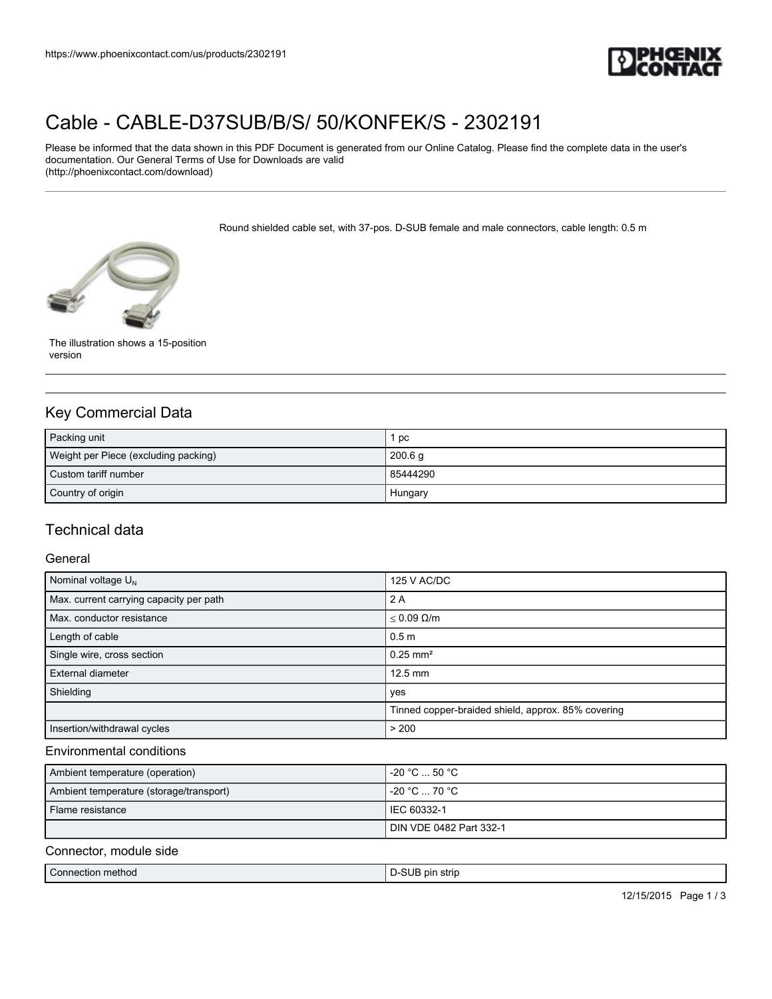

# [Cable - CABLE-D37SUB/B/S/ 50/KONFEK/S - 2302191](https://www.phoenixcontact.com/us/products/2302191)

Please be informed that the data shown in this PDF Document is generated from our Online Catalog. Please find the complete data in the user's documentation. Our General Terms of Use for Downloads are valid (http://phoenixcontact.com/download)

Round shielded cable set, with 37-pos. D-SUB female and male connectors, cable length: 0.5 m



The illustration shows a 15-position version

# Key Commercial Data

| Packing unit                         | pc       |
|--------------------------------------|----------|
| Weight per Piece (excluding packing) | 200.6 g  |
| Custom tariff number                 | 85444290 |
| Country of origin                    | Hungary  |

# Technical data

#### General

| Nominal voltage $U_N$                   | 125 V AC/DC                                        |
|-----------------------------------------|----------------------------------------------------|
| Max. current carrying capacity per path | 2 A                                                |
| Max. conductor resistance               | $\leq 0.09 \Omega/m$                               |
| Length of cable                         | 0.5 <sub>m</sub>                                   |
| Single wire, cross section              | $0.25$ mm <sup>2</sup>                             |
| External diameter                       | $12.5$ mm                                          |
| Shielding                               | yes                                                |
|                                         | Tinned copper-braided shield, approx. 85% covering |
| Insertion/withdrawal cycles             | > 200                                              |

#### Environmental conditions

| Ambient temperature (operation)         | l -20 °C  50 °C .       |
|-----------------------------------------|-------------------------|
| Ambient temperature (storage/transport) | $-20 °C \dots 70 °C$    |
| Flame resistance                        | I IEC 60332-1           |
|                                         | DIN VDE 0482 Part 332-1 |

#### Connector, module side

|  | Connection method | $\sim$<br>s pir<br>strip |
|--|-------------------|--------------------------|
|--|-------------------|--------------------------|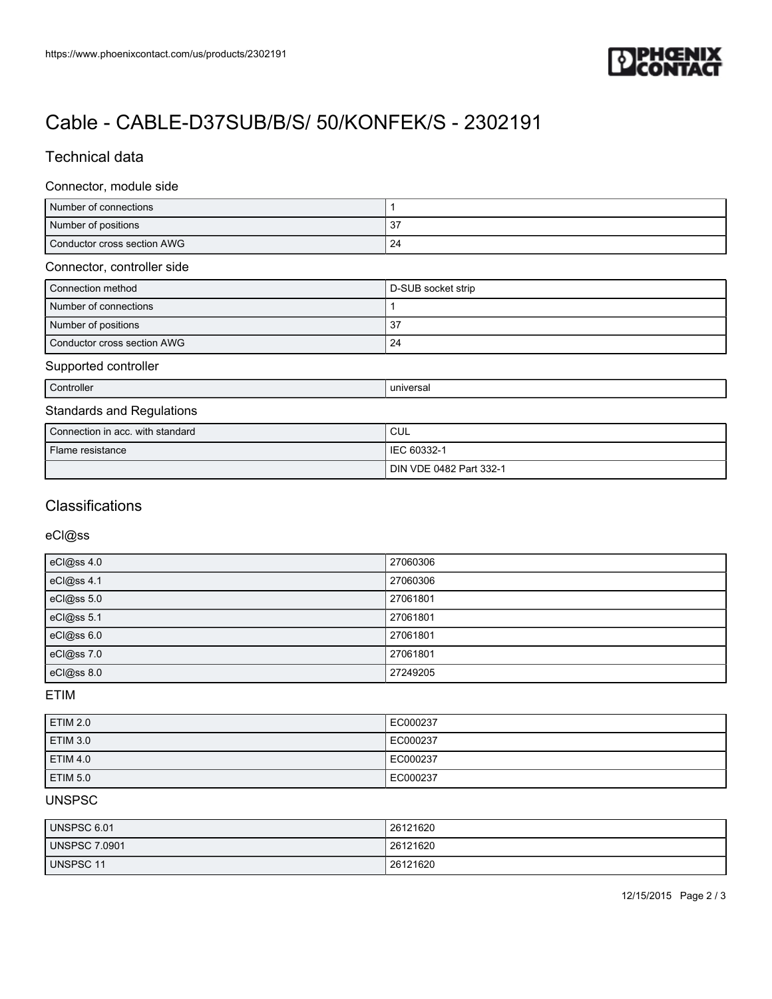

# [Cable - CABLE-D37SUB/B/S/ 50/KONFEK/S - 2302191](https://www.phoenixcontact.com/us/products/2302191)

# Technical data

#### Connector, module side

| Number of connections       |    |
|-----------------------------|----|
| Number of positions         | نۍ |
| Conductor cross section AWG | 24 |

### Connector, controller side

| Connection method           | D-SUB socket strip |
|-----------------------------|--------------------|
| Number of connections       |                    |
| Number of positions         | -37                |
| Conductor cross section AWG | 24                 |

#### Supported controller

Controller and the controller controller and the controller controller and the controller controller and the controller controller and the controller controller controller and the controller controller controller controlle

# Standards and Regulations

| Connection in acc. with standard | CUL                     |
|----------------------------------|-------------------------|
| Flame resistance                 | IEC 60332-1             |
|                                  | DIN VDE 0482 Part 332-1 |

## **Classifications**

### eCl@ss

| eCl@ss 4.0 | 27060306 |
|------------|----------|
| eCl@ss 4.1 | 27060306 |
| eCl@ss 5.0 | 27061801 |
| eCl@ss 5.1 | 27061801 |
| eCl@ss 6.0 | 27061801 |
| eCl@ss 7.0 | 27061801 |
| eCl@ss 8.0 | 27249205 |

## ETIM

| <b>ETIM 2.0</b> | EC000237 |
|-----------------|----------|
| <b>ETIM 3.0</b> | EC000237 |
| <b>ETIM 4.0</b> | EC000237 |
| <b>ETIM 5.0</b> | EC000237 |

## UNSPSC

| UNSPSC 6.01          | 26121620 |
|----------------------|----------|
| <b>UNSPSC 7.0901</b> | 26121620 |
| UNSPSC 11            | 26121620 |